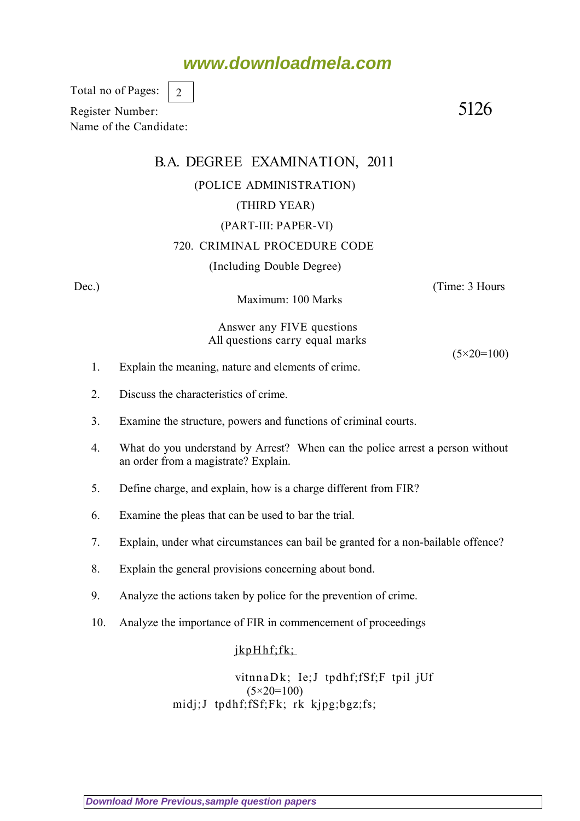# **www.downloadmela.com**

Total no of Pages: 2

Register Number: 5126 Name of the Candidate:

# B.A. DEGREE EXAMINATION, 2011 (POLICE ADMINISTRATION) (THIRD YEAR) (PART-III: PAPER-VI) 720. CRIMINAL PROCEDURE CODE (Including Double Degree) Dec.) (Time: 3 Hours

Maximum: 100 Marks

Answer any FIVE questions All questions carry equal marks

 $(5 \times 20 = 100)$ 

- 1. Explain the meaning, nature and elements of crime.
- 2. Discuss the characteristics of crime.
- 3. Examine the structure, powers and functions of criminal courts.
- 4. What do you understand by Arrest? When can the police arrest a person without an order from a magistrate? Explain.
- 5. Define charge, and explain, how is a charge different from FIR?
- 6. Examine the pleas that can be used to bar the trial.
- 7. Explain, under what circumstances can bail be granted for a non-bailable offence?
- 8. Explain the general provisions concerning about bond.
- 9. Analyze the actions taken by police for the prevention of crime.
- 10. Analyze the importance of FIR in commencement of proceedings

### jkpHhf;fk;

vitnnaDk; Ie;J tpdhf;fSf;F tpil jUf (5*×20=100)* midj;J tpdhf;fSf;Fk; rk kjpg;bgz;fs;